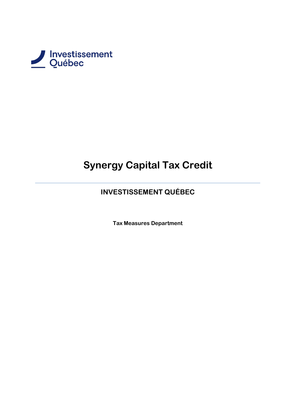

# **Synergy Capital Tax Credit**

# **INVESTISSEMENT QUÉBEC**

**Tax Measures Department**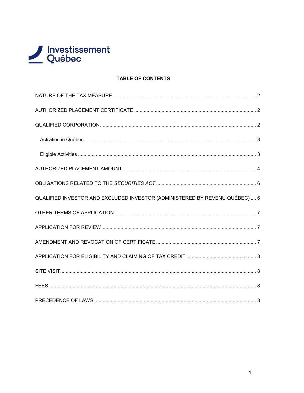

# **TABLE OF CONTENTS**

| QUALIFIED INVESTOR AND EXCLUDED INVESTOR (ADMINISTERED BY REVENU QUÉBEC)  6 |  |
|-----------------------------------------------------------------------------|--|
|                                                                             |  |
|                                                                             |  |
|                                                                             |  |
|                                                                             |  |
|                                                                             |  |
|                                                                             |  |
|                                                                             |  |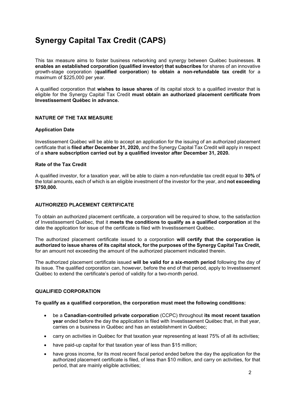# **Synergy Capital Tax Credit (CAPS)**

This tax measure aims to foster business networking and synergy between Québec businesses. **It enables an established corporation (qualified investor) that subscribes** for shares of an innovative growth-stage corporation (**qualified corporation**) **to obtain a non-refundable tax credit** for a maximum of \$225,000 per year.

A qualified corporation that **wishes to issue shares** of its capital stock to a qualified investor that is eligible for the Synergy Capital Tax Credit **must obtain an authorized placement certificate from Investissement Québec in advance.**

# <span id="page-2-0"></span>**NATURE OF THE TAX MEASURE**

#### **Application Date**

Investissement Québec will be able to accept an application for the issuing of an authorized placement certificate that is **filed after December 31, 2020,** and the Synergy Capital Tax Credit will apply in respect of a **share subscription carried out by a qualified investor after December 31, 2020.**

#### **Rate of the Tax Credit**

A qualified investor, for a taxation year, will be able to claim a non-refundable tax credit equal to **30%** of the total amounts, each of which is an eligible investment of the investor for the year, and **not exceeding \$750,000.**

#### <span id="page-2-1"></span>**AUTHORIZED PLACEMENT CERTIFICATE**

To obtain an authorized placement certificate, a corporation will be required to show, to the satisfaction of Investissement Québec, that it **meets the conditions to qualify as a qualified corporation** at the date the application for issue of the certificate is filed with Investissement Québec.

The authorized placement certificate issued to a corporation **will certify that the corporation is authorized to issue shares of its capital stock, for the purposes of the Synergy Capital Tax Credit,** for an amount not exceeding the amount of the authorized placement indicated therein.

The authorized placement certificate issued **will be valid for a six-month period** following the day of its issue. The qualified corporation can, however, before the end of that period, apply to Investissement Québec to extend the certificate's period of validity for a two-month period.

#### <span id="page-2-2"></span>**QUALIFIED CORPORATION**

#### **To qualify as a qualified corporation, the corporation must meet the following conditions:**

- be a **Canadian-controlled private corporation** (CCPC) throughout **its most recent taxation year** ended before the day the application is filed with Investissement Québec that, in that year, carries on a business in Québec and has an establishment in Québec;
- carry on activities in Québec for that taxation year representing at least 75% of all its activities;
- have paid-up capital for that taxation year of less than \$15 million;
- have gross income, for its most recent fiscal period ended before the day the application for the authorized placement certificate is filed, of less than \$10 million, and carry on activities, for that period, that are mainly eligible activities;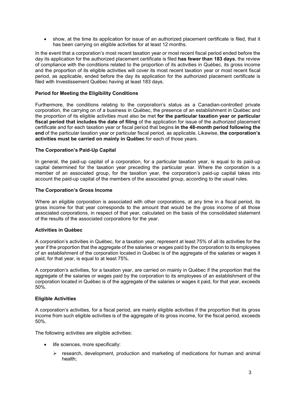• show, at the time its application for issue of an authorized placement certificate is filed, that it has been carrying on eligible activities for at least 12 months.

In the event that a corporation's most recent taxation year or most recent fiscal period ended before the day its application for the authorized placement certificate is filed **has fewer than 183 days**, the review of compliance with the conditions related to the proportion of its activities in Québec, its gross income and the proportion of its eligible activities will cover its most recent taxation year or most recent fiscal period, as applicable, ended before the day its application for the authorized placement certificate is filed with Investissement Québec having at least 183 days.

#### **Period for Meeting the Eligibility Conditions**

Furthermore, the conditions relating to the corporation's status as a Canadian-controlled private corporation, the carrying on of a business in Québec, the presence of an establishment in Québec and the proportion of its eligible activities must also be met **for the particular taxation year or particular fiscal period that includes the date of filing** of the application for issue of the authorized placement certificate and for each taxation year or fiscal period that begins **in the 48-month period following the end** of the particular taxation year or particular fiscal period, as applicable. Likewise, **the corporation's activities must be carried on mainly in Québec** for each of those years.

#### **The Corporation's Paid-Up Capital**

In general, the paid-up capital of a corporation, for a particular taxation year, is equal to its paid-up capital determined for the taxation year preceding the particular year. Where the corporation is a member of an associated group, for the taxation year, the corporation's paid-up capital takes into account the paid-up capital of the members of the associated group, according to the usual rules.

#### **The Corporation's Gross Income**

Where an eligible corporation is associated with other corporations, at any time in a fiscal period, its gross income for that year corresponds to the amount that would be the gross income of all those associated corporations, in respect of that year, calculated on the basis of the consolidated statement of the results of the associated corporations for the year.

#### <span id="page-3-0"></span>**Activities in Québec**

A corporation's activities in Québec, for a taxation year, represent at least 75% of all its activities for the year if the proportion that the aggregate of the salaries or wages paid by the corporation to its employees of an establishment of the corporation located in Québec is of the aggregate of the salaries or wages it paid, for that year, is equal to at least 75%.

A corporation's activities, for a taxation year, are carried on mainly in Québec if the proportion that the aggregate of the salaries or wages paid by the corporation to its employees of an establishment of the corporation located in Québec is of the aggregate of the salaries or wages it paid, for that year, exceeds 50%.

#### <span id="page-3-1"></span>**Eligible Activities**

A corporation's activities, for a fiscal period, are mainly eligible activities if the proportion that its gross income from such eligible activities is of the aggregate of its gross income, for the fiscal period, exceeds 50%.

The following activities are eligible activities:

- life sciences, more specifically:
	- $\triangleright$  research, development, production and marketing of medications for human and animal health;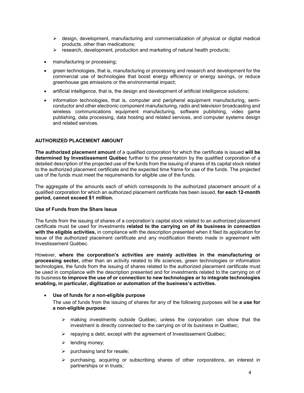- $\triangleright$  design, development, manufacturing and commercialization of physical or digital medical products, other than medications;
- $\triangleright$  research, development, production and marketing of natural health products;
- manufacturing or processing;
- green technologies, that is, manufacturing or processing and research and development for the commercial use of technologies that boost energy efficiency or energy savings, or reduce greenhouse gas emissions or the environmental impact;
- artificial intelligence, that is, the design and development of artificial intelligence solutions;
- information technologies, that is, computer and peripheral equipment manufacturing, semiconductor and other electronic component manufacturing, radio and television broadcasting and wireless communications equipment manufacturing, software publishing, video game publishing, data processing, data hosting and related services, and computer systems design and related services.

#### <span id="page-4-0"></span>**AUTHORIZED PLACEMENT AMOUNT**

**The authorized placement amount** of a qualified corporation for which the certificate is issued **will be determined by Investissement Québec** further to the presentation by the qualified corporation of a detailed description of the projected use of the funds from the issuing of shares of its capital stock related to the authorized placement certificate and the expected time frame for use of the funds. The projected use of the funds must meet the requirements for eligible use of the funds.

The aggregate of the amounts each of which corresponds to the authorized placement amount of a qualified corporation for which an authorized placement certificate has been issued, **for each 12-month period, cannot exceed \$1 million.**

#### **Use of Funds from the Share Issue**

The funds from the issuing of shares of a corporation's capital stock related to an authorized placement certificate must be used for investments **related to the carrying on of its business in connection with the eligible activities,** in compliance with the description presented when it filed its application for issue of the authorized placement certificate and any modification thereto made in agreement with Investissement Québec.

However, **where the corporation's activities are mainly activities in the manufacturing or processing sector,** other than an activity related to life sciences, green technologies or information technologies, the funds from the issuing of shares related to the authorized placement certificate must be used in compliance with the description presented and for investments related to the carrying on of its business **to improve the use of or connection to new technologies or to integrate technologies enabling, in particular, digitization or automation of the business's activities.**

#### • **Use of funds for a non-eligible purpose**

- The use of funds from the issuing of shares for any of the following purposes will be **a use for a non-eligible purpose**:
	- $\triangleright$  making investments outside Québec, unless the corporation can show that the investment is directly connected to the carrying on of its business in Québec;
	- $\triangleright$  repaying a debt, except with the agreement of Investissement Québec;
	- $\blacktriangleright$  lending money;
	- $\triangleright$  purchasing land for resale;
	- $\triangleright$  purchasing, acquiring or subscribing shares of other corporations, an interest in partnerships or in trusts;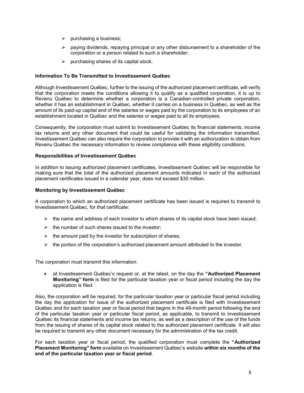- $\triangleright$  purchasing a business;
- $\triangleright$  paying dividends, repaying principal or any other disbursement to a shareholder of the corporation or a person related to such a shareholder;
- $\triangleright$  purchasing shares of its capital stock.

#### **Information To Be Transmitted to Investissement Québec**

Although Investissement Québec, further to the issuing of the authorized placement certificate, will verify that the corporation meets the conditions allowing it to qualify as a qualified corporation, it is up to Revenu Québec to determine whether a corporation is a Canadian-controlled private corporation, whether it has an establishment in Québec, whether it carries on a business in Québec, as well as the amount of its paid-up capital and of the salaries or wages paid by the corporation to its employees of an establishment located in Québec and the salaries or wages paid to all its employees.

Consequently, the corporation must submit to Investissement Québec its financial statements, income tax returns and any other document that could be useful for validating the information transmitted. Investissement Québec can also require the corporation to provide it with an authorization to obtain from Revenu Québec the necessary information to review compliance with these eligibility conditions.

#### **Responsibilities of Investissement Québec**

In addition to issuing authorized placement certificates, Investissement Québec will be responsible for making sure that the total of the authorized placement amounts indicated in each of the authorized placement certificates issued in a calendar year, does not exceed \$30 million.

#### **Monitoring by Investissement Québec**

A corporation to which an authorized placement certificate has been issued is required to transmit to Investissement Québec, for that certificate:

- $\triangleright$  the name and address of each investor to which shares of its capital stock have been issued;
- $\triangleright$  the number of such shares issued to the investor;
- $\triangleright$  the amount paid by the investor for subscription of shares;
- $\triangleright$  the portion of the corporation's authorized placement amount attributed to the investor.

The corporation must transmit this information:

• at Investissement Québec's request or, at the latest, on the day the **"Authorized Placement Monitoring" form** is filed for the particular taxation year or fiscal period including the day the application is filed.

Also, the corporation will be required, for the particular taxation year or particular fiscal period including the day the application for issue of the authorized placement certificate is filed with Investissement Québec and for each taxation year or fiscal period that begins in the 48-month period following the end of the particular taxation year or particular fiscal period, as applicable, to transmit to Investissement Québec its financial statements and income tax returns, as well as a description of the use of the funds from the issuing of shares of its capital stock related to the authorized placement certificate. It will also be required to transmit any other document necessary for the administration of the tax credit.

For each taxation year or fiscal period, the qualified corporation must complete the **"Authorized Placement Monitoring" form** available on Investissement Québec's website **within six months of the end of the particular taxation year or fiscal period**.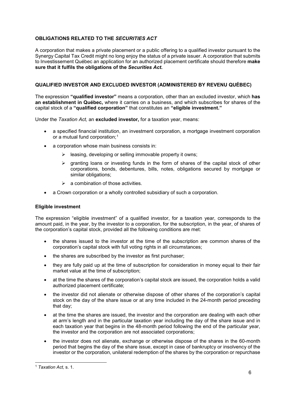# <span id="page-6-0"></span>**OBLIGATIONS RELATED TO THE** *SECURITIES ACT*

A corporation that makes a private placement or a public offering to a qualified investor pursuant to the Synergy Capital Tax Credit might no long enjoy the status of a private issuer. A corporation that submits to Investissement Québec an application for an authorized placement certificate should therefore **make sure that it fulfils the obligations of the** *Securities Act***.**

#### <span id="page-6-1"></span>**QUALIFIED INVESTOR AND EXCLUDED INVESTOR (ADMINISTERED BY REVENU QUÉBEC)**

The expression **"qualified investor"** means a corporation, other than an excluded investor, which **has an establishment in Québec,** where it carries on a business, and which subscribes for shares of the capital stock of a **"qualified corporation"** that constitutes an **"eligible investment."**

Under the *Taxation Act,* an **excluded investor,** for a taxation year, means:

- a specified financial institution, an investment corporation, a mortgage investment corporation or a mutual fund corporation;<sup>[1](#page-6-2)</sup>
- a corporation whose main business consists in:
	- $\triangleright$  leasing, developing or selling immovable property it owns;
	- $\triangleright$  granting loans or investing funds in the form of shares of the capital stock of other corporations, bonds, debentures, bills, notes, obligations secured by mortgage or similar obligations:
	- $\triangleright$  a combination of those activities.
- a Crown corporation or a wholly controlled subsidiary of such a corporation.

#### **Eligible investment**

The expression "eligible investment" of a qualified investor, for a taxation year, corresponds to the amount paid, in the year, by the investor to a corporation, for the subscription, in the year, of shares of the corporation's capital stock, provided all the following conditions are met:

- the shares issued to the investor at the time of the subscription are common shares of the corporation's capital stock with full voting rights in all circumstances;
- the shares are subscribed by the investor as first purchaser;
- they are fully paid up at the time of subscription for consideration in money equal to their fair market value at the time of subscription;
- at the time the shares of the corporation's capital stock are issued, the corporation holds a valid authorized placement certificate;
- the investor did not alienate or otherwise dispose of other shares of the corporation's capital stock on the day of the share issue or at any time included in the 24-month period preceding that day;
- at the time the shares are issued, the investor and the corporation are dealing with each other at arm's length and in the particular taxation year including the day of the share issue and in each taxation year that begins in the 48-month period following the end of the particular year, the investor and the corporation are not associated corporations;
- the investor does not alienate, exchange or otherwise dispose of the shares in the 60-month period that begins the day of the share issue, except in case of bankruptcy or insolvency of the investor or the corporation, unilateral redemption of the shares by the corporation or repurchase

<span id="page-6-2"></span> <sup>1</sup> *Taxation Act,* s. 1.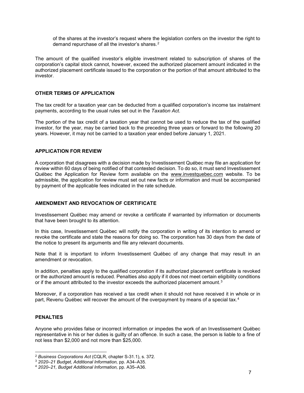of the shares at the investor's request where the legislation confers on the investor the right to demand repurchase of all the investor's shares.<sup>[2](#page-7-3)</sup>

The amount of the qualified investor's eligible investment related to subscription of shares of the corporation's capital stock cannot, however, exceed the authorized placement amount indicated in the authorized placement certificate issued to the corporation or the portion of that amount attributed to the investor.

#### <span id="page-7-0"></span>**OTHER TERMS OF APPLICATION**

The tax credit for a taxation year can be deducted from a qualified corporation's income tax instalment payments, according to the usual rules set out in the *Taxation Act*.

The portion of the tax credit of a taxation year that cannot be used to reduce the tax of the qualified investor, for the year, may be carried back to the preceding three years or forward to the following 20 years. However, it may not be carried to a taxation year ended before January 1, 2021.

#### <span id="page-7-1"></span>**APPLICATION FOR REVIEW**

A corporation that disagrees with a decision made by Investissement Québec may file an application for review within 60 days of being notified of that contested decision. To do so, it must send Investissement Québec the Application for Review form available on the [www.investquebec.com](https://www.investquebec.com/quebec/en/financial-products.html) website. To be admissible, the application for review must set out new facts or information and must be accompanied by payment of the applicable fees indicated in the rate schedule.

#### <span id="page-7-2"></span>**AMENDMENT AND REVOCATION OF CERTIFICATE**

Investissement Québec may amend or revoke a certificate if warranted by information or documents that have been brought to its attention.

In this case, Investissement Québec will notify the corporation in writing of its intention to amend or revoke the certificate and state the reasons for doing so. The corporation has 30 days from the date of the notice to present its arguments and file any relevant documents.

Note that it is important to inform Investissement Québec of any change that may result in an amendment or revocation.

In addition, penalties apply to the qualified corporation if its authorized placement certificate is revoked or the authorized amount is reduced. Penalties also apply if it does not meet certain eligibility conditions or if the amount attributed to the investor exceeds the authorized placement amount.<sup>[3](#page-7-4)</sup>

Moreover, if a corporation has received a tax credit when it should not have received it in whole or in part, Revenu Québec will recover the amount of the overpayment by means of a special tax.<sup>[4](#page-7-5)</sup>

#### **PENALTIES**

Anyone who provides false or incorrect information or impedes the work of an Investissement Québec representative in his or her duties is guilty of an offence. In such a case, the person is liable to a fine of not less than \$2,000 and not more than \$25,000.

<span id="page-7-3"></span> <sup>2</sup> *Business Corporations Act* (CQLR, chapter S-31.1), s. 372.

<span id="page-7-4"></span><sup>3</sup> *2020–21 Budget, Additional Information,* pp. A34–A35.

<span id="page-7-5"></span><sup>4</sup> *2020–21, Budget Additional Information,* pp. A35–A36.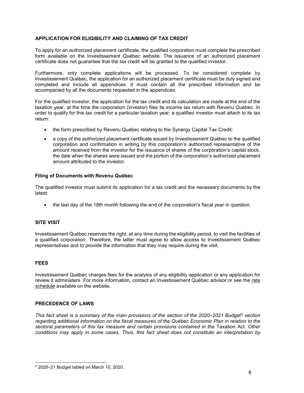# <span id="page-8-0"></span>**APPLICATION FOR ELIGIBILITY AND CLAIMING OF TAX CREDIT**

To apply for an authorized placement certificate, the qualified corporation must complete the prescribed form available on the Investissement Québec website. The issuance of an authorized placement certificate does not guarantee that the tax credit will be granted to the qualified investor.

Furthermore, only complete applications will be processed. To be considered complete by Investissement Québec, the application for an authorized placement certificate must be duly signed and completed and include all appendices. It must contain all the prescribed information and be accompanied by all the documents requested in the appendices.

For the qualified investor, the application for the tax credit and its calculation are made at the end of the taxation year, at the time the corporation (investor) files its income tax return with Revenu Québec. In order to qualify for this tax credit for a particular taxation year, a qualified investor must attach to its tax return:

- the form prescribed by Revenu Québec relating to the Synergy Capital Tax Credit;
- a copy of the authorized placement certificate issued by Investissement Québec to the qualified corporation and confirmation in writing by this corporation's authorized representative of the amount received from the investor for the issuance of shares of the corporation's capital stock, the date when the shares were issued and the portion of the corporation's authorized placement amount attributed to the investor.

#### **Filing of Documents with Revenu Québec**

The qualified investor must submit its application for a tax credit and the necessary documents by the latest:

• the last day of the 18th month following the end of the corporation's fiscal year in question.

# <span id="page-8-1"></span>**SITE VISIT**

Investissement Québec reserves the right, at any time during the eligibility period, to visit the facilities of a qualified corporation. Therefore, the latter must agree to allow access to Investissement Québec representatives and to provide the information that they may require during the visit.

# <span id="page-8-2"></span>**FEES**

Investissement Québec charges fees for the analysis of any eligibility application or any application for review it administers. For more information, contact an Investissement Québec advisor or see the [rate](https://www.investquebec.com/quebec/en/financial-products/tax-credits/fees.html)  [schedule](https://www.investquebec.com/quebec/en/financial-products/tax-credits/fees.html) available on the website.

# <span id="page-8-3"></span>**PRECEDENCE OF LAWS**

*This fact sheet is a summary of the main provisions of the section of the 2020–2021 Budget[5](#page-8-4) section regarding additional information on the fiscal measures of the Québec Economic Plan in relation to the sectoral parameters of this tax measure and certain provisions contained in the Taxation Act. Other conditions may apply in some cases. Thus, this fact sheet does not constitute an interpretation by* 

<span id="page-8-4"></span> <sup>5</sup> 2020–21 Budget tabled on March 10, 2020.